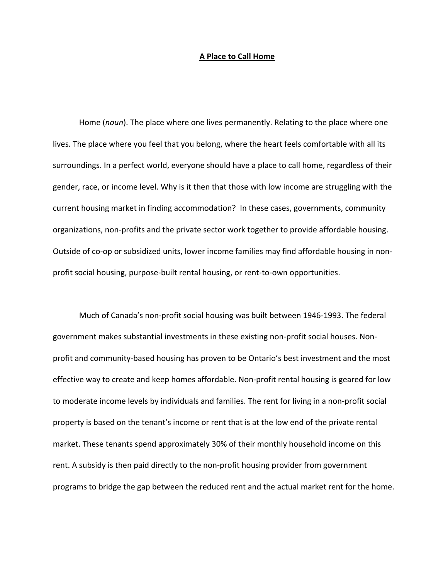## **A Place to Call Home**

Home (*noun*). The place where one lives permanently. Relating to the place where one lives. The place where you feel that you belong, where the heart feels comfortable with all its surroundings. In a perfect world, everyone should have a place to call home, regardless of their gender, race, or income level. Why is it then that those with low income are struggling with the current housing market in finding accommodation? In these cases, governments, community organizations, non-profits and the private sector work together to provide affordable housing. Outside of co-op or subsidized units, lower income families may find affordable housing in nonprofit social housing, purpose-built rental housing, or rent-to-own opportunities.

Much of Canada's non-profit social housing was built between 1946-1993. The federal government makes substantial investments in these existing non-profit social houses. Nonprofit and community-based housing has proven to be Ontario's best investment and the most effective way to create and keep homes affordable. Non-profit rental housing is geared for low to moderate income levels by individuals and families. The rent for living in a non-profit social property is based on the tenant's income or rent that is at the low end of the private rental market. These tenants spend approximately 30% of their monthly household income on this rent. A subsidy is then paid directly to the non-profit housing provider from government programs to bridge the gap between the reduced rent and the actual market rent for the home.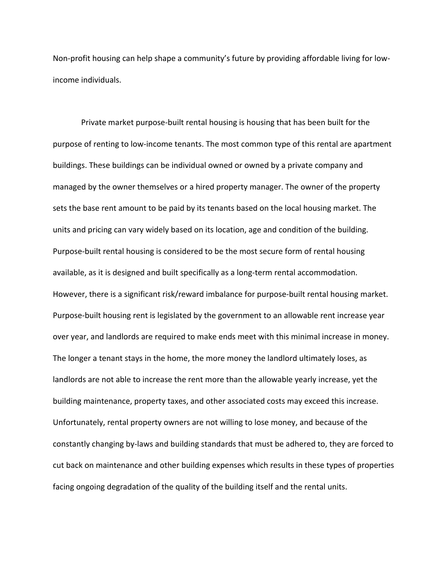Non-profit housing can help shape a community's future by providing affordable living for lowincome individuals.

Private market purpose-built rental housing is housing that has been built for the purpose of renting to low-income tenants. The most common type of this rental are apartment buildings. These buildings can be individual owned or owned by a private company and managed by the owner themselves or a hired property manager. The owner of the property sets the base rent amount to be paid by its tenants based on the local housing market. The units and pricing can vary widely based on its location, age and condition of the building. Purpose-built rental housing is considered to be the most secure form of rental housing available, as it is designed and built specifically as a long-term rental accommodation. However, there is a significant risk/reward imbalance for purpose-built rental housing market. Purpose-built housing rent is legislated by the government to an allowable rent increase year over year, and landlords are required to make ends meet with this minimal increase in money. The longer a tenant stays in the home, the more money the landlord ultimately loses, as landlords are not able to increase the rent more than the allowable yearly increase, yet the building maintenance, property taxes, and other associated costs may exceed this increase. Unfortunately, rental property owners are not willing to lose money, and because of the constantly changing by-laws and building standards that must be adhered to, they are forced to cut back on maintenance and other building expenses which results in these types of properties facing ongoing degradation of the quality of the building itself and the rental units.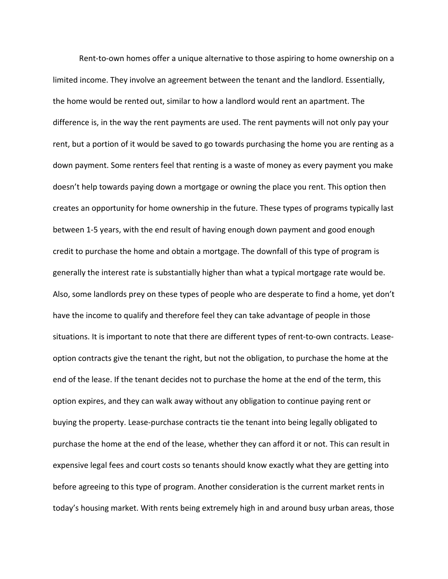Rent-to-own homes offer a unique alternative to those aspiring to home ownership on a limited income. They involve an agreement between the tenant and the landlord. Essentially, the home would be rented out, similar to how a landlord would rent an apartment. The difference is, in the way the rent payments are used. The rent payments will not only pay your rent, but a portion of it would be saved to go towards purchasing the home you are renting as a down payment. Some renters feel that renting is a waste of money as every payment you make doesn't help towards paying down a mortgage or owning the place you rent. This option then creates an opportunity for home ownership in the future. These types of programs typically last between 1-5 years, with the end result of having enough down payment and good enough credit to purchase the home and obtain a mortgage. The downfall of this type of program is generally the interest rate is substantially higher than what a typical mortgage rate would be. Also, some landlords prey on these types of people who are desperate to find a home, yet don't have the income to qualify and therefore feel they can take advantage of people in those situations. It is important to note that there are different types of rent-to-own contracts. Leaseoption contracts give the tenant the right, but not the obligation, to purchase the home at the end of the lease. If the tenant decides not to purchase the home at the end of the term, this option expires, and they can walk away without any obligation to continue paying rent or buying the property. Lease-purchase contracts tie the tenant into being legally obligated to purchase the home at the end of the lease, whether they can afford it or not. This can result in expensive legal fees and court costs so tenants should know exactly what they are getting into before agreeing to this type of program. Another consideration is the current market rents in today's housing market. With rents being extremely high in and around busy urban areas, those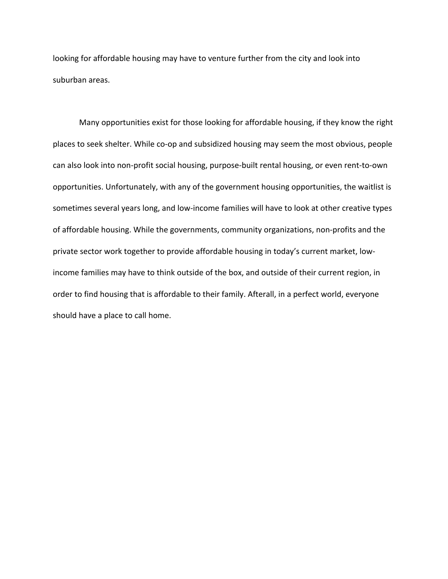looking for affordable housing may have to venture further from the city and look into suburban areas.

Many opportunities exist for those looking for affordable housing, if they know the right places to seek shelter. While co-op and subsidized housing may seem the most obvious, people can also look into non-profit social housing, purpose-built rental housing, or even rent-to-own opportunities. Unfortunately, with any of the government housing opportunities, the waitlist is sometimes several years long, and low-income families will have to look at other creative types of affordable housing. While the governments, community organizations, non-profits and the private sector work together to provide affordable housing in today's current market, lowincome families may have to think outside of the box, and outside of their current region, in order to find housing that is affordable to their family. Afterall, in a perfect world, everyone should have a place to call home.